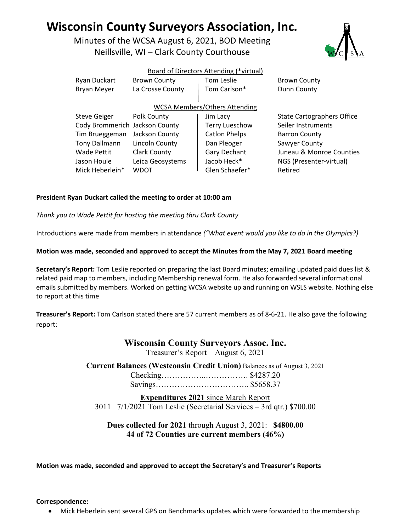# **Wisconsin County Surveyors Association, Inc.**

Minutes of the WCSA August 6, 2021, BOD Meeting Neillsville, WI – Clark County Courthouse



### Board of Directors Attending (\*virtual)

| Ryan Duckart                   | <b>Brown County</b> | <b>Tom Leslie</b>                    | <b>Brown County</b>               |
|--------------------------------|---------------------|--------------------------------------|-----------------------------------|
| <b>Bryan Meyer</b>             | La Crosse County    | Tom Carlson*                         | Dunn County                       |
|                                |                     | <b>WCSA Members/Others Attending</b> |                                   |
| <b>Steve Geiger</b>            | Polk County         | Jim Lacy                             | <b>State Cartographers Office</b> |
| Cody Brommerich Jackson County |                     | <b>Terry Lueschow</b>                | Seiler Instruments                |
| Tim Brueggeman                 | Jackson County      | <b>Catlon Phelps</b>                 | <b>Barron County</b>              |
| Tony Dallmann                  | Lincoln County      | Dan Pleoger                          | Sawyer County                     |
| Wade Pettit                    | <b>Clark County</b> | Gary Dechant                         | Juneau & Monroe Counties          |
| Jason Houle                    | Leica Geosystems    | Jacob Heck*                          | NGS (Presenter-virtual)           |
| Mick Heberlein*                | WDOT                | Glen Schaefer*                       | Retired                           |

### **President Ryan Duckart called the meeting to order at 10:00 am**

*Thank you to Wade Pettit for hosting the meeting thru Clark County*

Introductions were made from members in attendance *("What event would you like to do in the Olympics?)*

### **Motion was made, seconded and approved to accept the Minutes from the May 7, 2021 Board meeting**

**Secretary's Report:** Tom Leslie reported on preparing the last Board minutes; emailing updated paid dues list & related paid map to members, including Membership renewal form. He also forwarded several informational emails submitted by members. Worked on getting WCSA website up and running on WSLS website. Nothing else to report at this time

**Treasurer's Report:** Tom Carlson stated there are 57 current members as of 8-6-21. He also gave the following report:

### **Wisconsin County Surveyors Assoc. Inc.**

Treasurer's Report – August 6, 2021

**Current Balances (Westconsin Credit Union)** Balances as of August 3, 2021 Checking……………..……………. \$4287.20 Savings…………………………….. \$5658.37

**Expenditures 2021** since March Report 3011 7/1/2021 Tom Leslie (Secretarial Services – 3rd qtr.) \$700.00

### **Dues collected for 2021** through August 3, 2021: **\$4800.00 44 of 72 Counties are current members (46%)**

**Motion was made, seconded and approved to accept the Secretary's and Treasurer's Reports**

#### **Correspondence:**

• Mick Heberlein sent several GPS on Benchmarks updates which were forwarded to the membership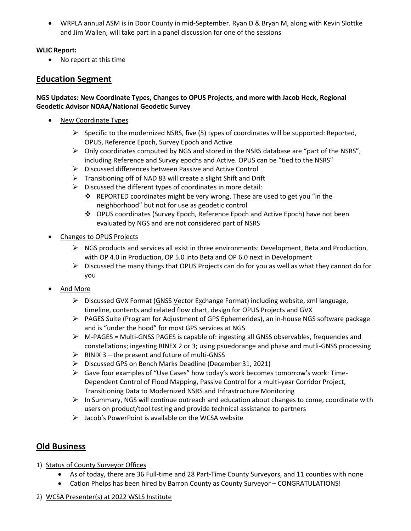• WRPLA annual ASM is in Door County in mid-September. Ryan D & Bryan M, along with Kevin Slottke and Jim Wallen, will take part in a panel discussion for one of the sessions

### **WLIC Report:**

• No report at this time

# **Education Segment**

### **NGS Updates: New Coordinate Types, Changes to OPUS Projects, and more with Jacob Heck, Regional Geodetic Advisor NOAA/National Geodetic Survey**

- New Coordinate Types
	- $\triangleright$  Specific to the modernized NSRS, five (5) types of coordinates will be supported: Reported, OPUS, Reference Epoch, Survey Epoch and Active
	- Only coordinates computed by NGS and stored in the NSRS database are "part of the NSRS", including Reference and Survey epochs and Active. OPUS can be "tied to the NSRS"
	- Discussed differences between Passive and Active Control
	- $\triangleright$  Transitioning off of NAD 83 will create a slight Shift and Drift
	- $\triangleright$  Discussed the different types of coordinates in more detail:
		- REPORTED coordinates might be very wrong. These are used to get you "in the neighborhood" but not for use as geodetic control
		- OPUS coordinates (Survey Epoch, Reference Epoch and Active Epoch) have not been evaluated by NGS and are not considered part of NSRS
- Changes to OPUS Projects
	- $\triangleright$  NGS products and services all exist in three environments: Development, Beta and Production, with OP 4.0 in Production, OP 5.0 into Beta and OP 6.0 next in Development
	- $\triangleright$  Discussed the many things that OPUS Projects can do for you as well as what they cannot do for you
- And More
	- $\triangleright$  Discussed GVX Format (GNSS Vector Exchange Format) including website, xml language, timeline, contents and related flow chart, design for OPUS Projects and GVX
	- PAGES Suite (Program for Adjustment of GPS Ephemerides), an in-house NGS software package and is "under the hood" for most GPS services at NGS
	- $\triangleright$  M-PAGES = Multi-GNSS PAGES is capable of: ingesting all GNSS observables, frequencies and constellations; ingesting RINEX 2 or 3; using psuedorange and phase and mutli-GNSS processing
	- $\triangleright$  RINIX 3 the present and future of multi-GNSS
	- Discussed GPS on Bench Marks Deadline (December 31, 2021)
	- $\triangleright$  Gave four examples of "Use Cases" how today's work becomes tomorrow's work: Time-Dependent Control of Flood Mapping, Passive Control for a multi-year Corridor Project, Transitioning Data to Modernized NSRS and Infrastructure Monitoring
	- $\triangleright$  In Summary, NGS will continue outreach and education about changes to come, coordinate with users on product/tool testing and provide technical assistance to partners
	- $\triangleright$  Jacob's PowerPoint is available on the WCSA website

# **Old Business**

- 1) Status of County Surveyor Offices
	- As of today, there are 36 Full-time and 28 Part-Time County Surveyors, and 11 counties with none
	- Catlon Phelps has been hired by Barron County as County Surveyor CONGRATULATIONS!
- 2) WCSA Presenter(s) at 2022 WSLS Institute